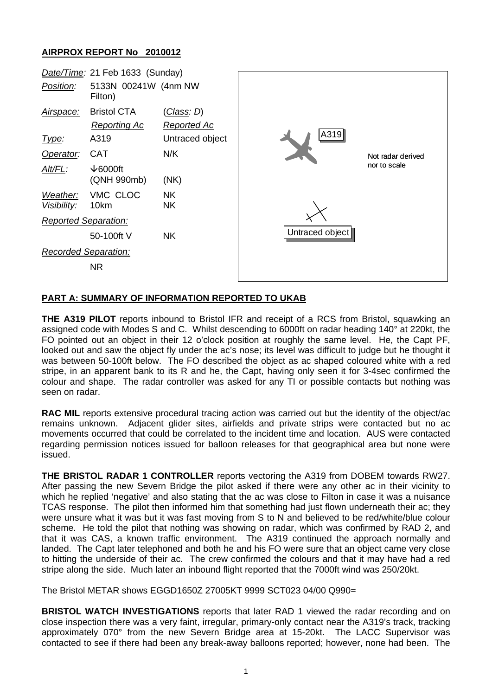## **AIRPROX REPORT No 2010012**



## **PART A: SUMMARY OF INFORMATION REPORTED TO UKAB**

**THE A319 PILOT** reports inbound to Bristol IFR and receipt of a RCS from Bristol, squawking an assigned code with Modes S and C. Whilst descending to 6000ft on radar heading 140° at 220kt, the FO pointed out an object in their 12 o'clock position at roughly the same level. He, the Capt PF, looked out and saw the object fly under the ac's nose; its level was difficult to judge but he thought it was between 50-100ft below. The FO described the object as ac shaped coloured white with a red stripe, in an apparent bank to its R and he, the Capt, having only seen it for 3-4sec confirmed the colour and shape. The radar controller was asked for any TI or possible contacts but nothing was seen on radar.

**RAC MIL** reports extensive procedural tracing action was carried out but the identity of the object/ac remains unknown. Adjacent glider sites, airfields and private strips were contacted but no ac movements occurred that could be correlated to the incident time and location. AUS were contacted regarding permission notices issued for balloon releases for that geographical area but none were issued.

**THE BRISTOL RADAR 1 CONTROLLER** reports vectoring the A319 from DOBEM towards RW27. After passing the new Severn Bridge the pilot asked if there were any other ac in their vicinity to which he replied 'negative' and also stating that the ac was close to Filton in case it was a nuisance TCAS response. The pilot then informed him that something had just flown underneath their ac; they were unsure what it was but it was fast moving from S to N and believed to be red/white/blue colour scheme. He told the pilot that nothing was showing on radar, which was confirmed by RAD 2, and that it was CAS, a known traffic environment. The A319 continued the approach normally and landed. The Capt later telephoned and both he and his FO were sure that an object came very close to hitting the underside of their ac. The crew confirmed the colours and that it may have had a red stripe along the side. Much later an inbound flight reported that the 7000ft wind was 250/20kt.

The Bristol METAR shows EGGD1650Z 27005KT 9999 SCT023 04/00 Q990=

**BRISTOL WATCH INVESTIGATIONS** reports that later RAD 1 viewed the radar recording and on close inspection there was a very faint, irregular, primary-only contact near the A319's track, tracking approximately 070° from the new Severn Bridge area at 15-20kt. The LACC Supervisor was contacted to see if there had been any break-away balloons reported; however, none had been. The